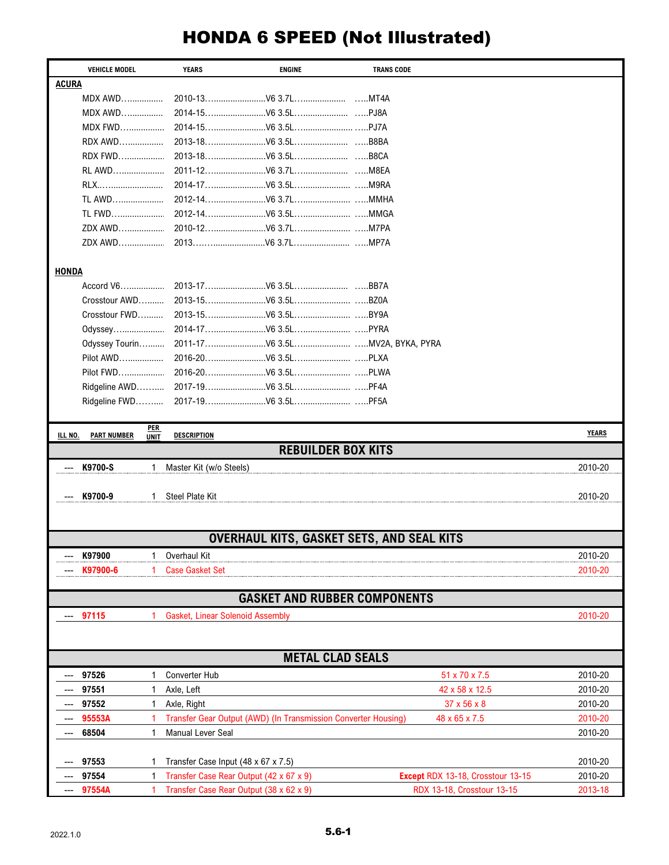## HONDA 6 SPEED (Not Illustrated)

| <b>VEHICLE MODEL</b>                             |                    | <b>YEARS</b>                            | <b>ENGINE</b>                                                  | <b>TRANS CODE</b>       |                                   |              |  |  |  |
|--------------------------------------------------|--------------------|-----------------------------------------|----------------------------------------------------------------|-------------------------|-----------------------------------|--------------|--|--|--|
| <b>ACURA</b>                                     |                    |                                         |                                                                |                         |                                   |              |  |  |  |
| MDX AWD                                          |                    |                                         |                                                                |                         |                                   |              |  |  |  |
| <b>MDX AWD</b>                                   |                    |                                         |                                                                |                         |                                   |              |  |  |  |
| <b>MDX FWD</b>                                   |                    |                                         |                                                                |                         |                                   |              |  |  |  |
| RDX AWD                                          |                    |                                         |                                                                |                         |                                   |              |  |  |  |
| <b>RDX FWD</b>                                   |                    |                                         |                                                                |                         |                                   |              |  |  |  |
| RL AWD                                           |                    |                                         |                                                                |                         |                                   |              |  |  |  |
| RLX                                              |                    |                                         |                                                                |                         |                                   |              |  |  |  |
| TL AWD                                           |                    |                                         |                                                                |                         |                                   |              |  |  |  |
| TL FWD                                           |                    |                                         |                                                                |                         |                                   |              |  |  |  |
| ZDX AWD                                          |                    |                                         |                                                                |                         |                                   |              |  |  |  |
| ZDX AWD                                          |                    |                                         |                                                                |                         |                                   |              |  |  |  |
| <b>HONDA</b>                                     |                    |                                         |                                                                |                         |                                   |              |  |  |  |
| Accord V6                                        |                    |                                         |                                                                |                         |                                   |              |  |  |  |
| Crosstour AWD                                    |                    |                                         |                                                                |                         |                                   |              |  |  |  |
| Crosstour FWD                                    |                    |                                         |                                                                |                         |                                   |              |  |  |  |
| Odyssey                                          |                    |                                         |                                                                |                         |                                   |              |  |  |  |
| Odyssey Tourin                                   |                    |                                         |                                                                |                         |                                   |              |  |  |  |
| Pilot AWD                                        |                    |                                         |                                                                |                         |                                   |              |  |  |  |
| Pilot FWD                                        |                    |                                         |                                                                |                         |                                   |              |  |  |  |
| Ridgeline AWD                                    |                    |                                         |                                                                |                         |                                   |              |  |  |  |
| Ridgeline FWD                                    |                    |                                         |                                                                |                         |                                   |              |  |  |  |
|                                                  |                    |                                         |                                                                |                         |                                   |              |  |  |  |
| <b>PART NUMBER</b><br><u>ILL NO.</u>             | PER<br><b>UNIT</b> | <b>DESCRIPTION</b>                      |                                                                |                         |                                   | <b>YEARS</b> |  |  |  |
| <b>REBUILDER BOX KITS</b>                        |                    |                                         |                                                                |                         |                                   |              |  |  |  |
| K9700-S                                          | 1                  | Master Kit (w/o Steels)                 |                                                                |                         |                                   | 2010-20      |  |  |  |
|                                                  |                    |                                         |                                                                |                         |                                   |              |  |  |  |
| K9700-9                                          | 1.                 | Steel Plate Kit                         |                                                                |                         |                                   | 2010-20      |  |  |  |
|                                                  |                    |                                         |                                                                |                         |                                   |              |  |  |  |
| <b>OVERHAUL KITS, GASKET SETS, AND SEAL KITS</b> |                    |                                         |                                                                |                         |                                   |              |  |  |  |
| K97900                                           | 1                  | Overhaul Kit                            |                                                                |                         |                                   | 2010-20      |  |  |  |
| K97900-6                                         | 1                  | <b>Case Gasket Set</b>                  |                                                                |                         |                                   | 2010-20      |  |  |  |
|                                                  |                    |                                         | <b>GASKET AND RUBBER COMPONENTS</b>                            |                         |                                   |              |  |  |  |
| 97115                                            | 1                  | <b>Gasket, Linear Solenoid Assembly</b> |                                                                |                         |                                   | 2010-20      |  |  |  |
|                                                  |                    |                                         |                                                                |                         |                                   |              |  |  |  |
|                                                  |                    |                                         |                                                                |                         |                                   |              |  |  |  |
|                                                  |                    |                                         |                                                                | <b>METAL CLAD SEALS</b> |                                   |              |  |  |  |
|                                                  |                    |                                         |                                                                |                         |                                   |              |  |  |  |
| 97526                                            | 1                  | <b>Converter Hub</b>                    |                                                                |                         | 51 x 70 x 7.5                     | 2010-20      |  |  |  |
| 97551                                            | 1                  | Axle, Left                              |                                                                |                         | 42 x 58 x 12.5                    | 2010-20      |  |  |  |
| 97552                                            | 1                  | Axle, Right                             |                                                                |                         | 37 x 56 x 8                       | 2010-20      |  |  |  |
| 95553A                                           |                    |                                         | Transfer Gear Output (AWD) (In Transmission Converter Housing) |                         | 48 x 65 x 7.5                     | 2010-20      |  |  |  |
| 68504<br>---                                     | 1                  | Manual Lever Seal                       |                                                                |                         |                                   | 2010-20      |  |  |  |
| 97553                                            |                    |                                         |                                                                |                         |                                   | 2010-20      |  |  |  |
| 97554                                            |                    | Transfer Case Input (48 x 67 x 7.5)     | Transfer Case Rear Output (42 x 67 x 9)                        |                         | Except RDX 13-18, Crosstour 13-15 | 2010-20      |  |  |  |